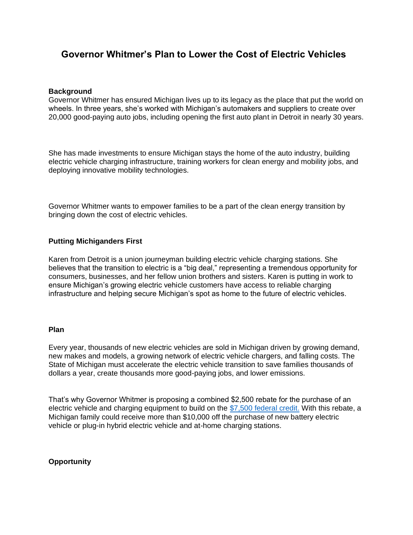# **Governor Whitmer's Plan to Lower the Cost of Electric Vehicles**

## **Background**

Governor Whitmer has ensured Michigan lives up to its legacy as the place that put the world on wheels. In three years, she's worked with Michigan's automakers and suppliers to create over 20,000 good-paying auto jobs, including opening the first auto plant in Detroit in nearly 30 years.

She has made investments to ensure Michigan stays the home of the auto industry, building electric vehicle charging infrastructure, training workers for clean energy and mobility jobs, and deploying innovative mobility technologies.

Governor Whitmer wants to empower families to be a part of the clean energy transition by bringing down the cost of electric vehicles.

# **Putting Michiganders First**

Karen from Detroit is a union journeyman building electric vehicle charging stations. She believes that the transition to electric is a "big deal," representing a tremendous opportunity for consumers, businesses, and her fellow union brothers and sisters. Karen is putting in work to ensure Michigan's growing electric vehicle customers have access to reliable charging infrastructure and helping secure Michigan's spot as home to the future of electric vehicles.

#### **Plan**

Every year, thousands of new electric vehicles are sold in Michigan driven by growing demand, new makes and models, a growing network of electric vehicle chargers, and falling costs. The State of Michigan must accelerate the electric vehicle transition to save families thousands of dollars a year, create thousands more good-paying jobs, and lower emissions.

That's why Governor Whitmer is proposing a combined \$2,500 rebate for the purchase of an electric vehicle and charging equipment to build on the [\\$7,500 federal credit.](https://www.irs.gov/businesses/irc-30d-new-qualified-plug-in-electric-drive-motor-vehicle-credit) With this rebate, a Michigan family could receive more than \$10,000 off the purchase of new battery electric vehicle or plug-in hybrid electric vehicle and at-home charging stations.

# **Opportunity**